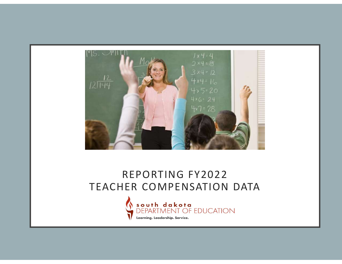

#### REPORTING FY2022 TEACHER COMPENSATION DATA

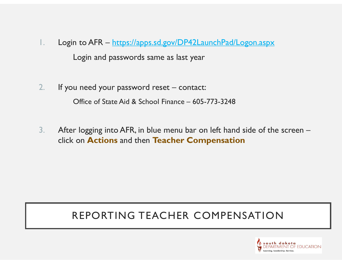- 1. Login to AFR https://apps.sd.gov/DP42LaunchPad/Logon.aspx Login and passwords same as last year 2. Iso 1. In the AFR – https://apps.sd.gov/DP42LaunchPad/Logon.aspx<br>
Login and passwords same as last year<br>
2. If you need your password reset – contact:<br>
Office of State Aid & School Finance – 605-773-3248 n to AFR – <u>https://apps.sd.gov/DP42LaunchPad/Logon.aspx</u><br>Login and passwords same as last year<br>u need your password reset – contact:<br>Office of State Aid & School Finance – 605-773-3248<br>r logging into AFR, in blue menu bar
- 
- 3. After logging into AFR, in blue menu bar on left hand side of the screen click on Actions and then Teacher Compensation

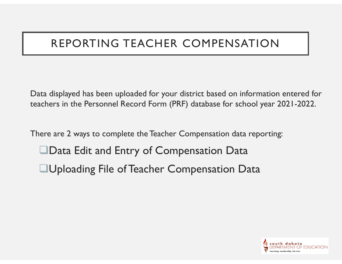Data displayed has been uploaded for your district based on information entered for teachers in the Personnel Record Form (PRF) database for school year 2021-2022.

There are 2 ways to complete the Teacher Compensation data reporting:

- Data Edit and Entry of Compensation Data
- Uploading File of Teacher Compensation Data

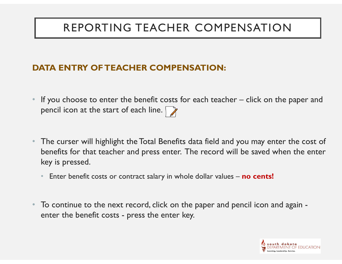#### DATA ENTRY OF TEACHER COMPENSATION:

- **If you choose to enter the benefit costs for each teacher click on the paper and pencil icon at the start of each line.** pencil icon at the start of each line. [
- The curser will highlight the Total Benefits data field and you may enter the cost of benefits for that teacher and press enter. The record will be saved when the enter key is pressed. pencil icon at the start of each line.<br>
The curser will highlight the Total Benefits data field and you may v<br>
benefits for that teacher and press enter. The record will be saved<br>
key is pressed.<br>
• Enter benefit costs or
	- Enter benefit costs or contract salary in whole dollar values **no cents!**
- To continue to the next record, click on the paper and pencil icon and again -

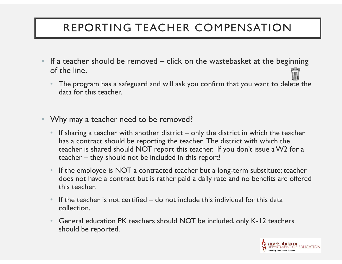- **EPORTING TEACHER COMPENSATION**<br>• If a teacher should be removed click on the wastebasket at the beginning<br>of the line.<br>• The program has a safeguard and will ask you confirm that you want to delete the<br>data for this tea of the line.
	- The program has a safeguard and will ask you confirm that you want to delete the data for this teacher.
- Why may a teacher need to be removed?
- If a teacher should be removed click on the wastebasket at the beginning<br>
 The program has a safeguard and will ask you confirm that you want to delete the<br>
 The program has a safeguard and will ask you confirm that has a contract should be reporting the teacher. The district with which the teacher is shared should NOT report this teacher. If you don't issue a W2 for a If a teacher should be removed – click on the wastebasket at the beginning<br>
• The program has a safeguard and will ask you confirm that you want to delete the<br>
data for this teacher.<br>
• If sharing a teacher reed to be remo data for this teacher.<br>
• If sharing a teacher need to be removed?<br>
• If sharing a teacher with another district – only the district in which the teacher<br>
has a contract should be reporting the teacher. The district with w
	- does not have a contract but is rather paid a daily rate and no benefits are offered this teacher.
	- collection.
	- General education PK teachers should NOT be included, only K-12 teachers should be reported.

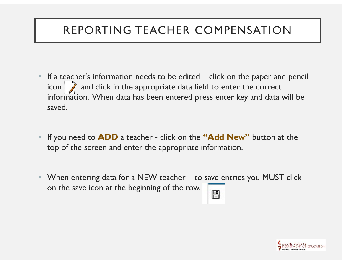- **EXECUTE ACTER COMPENSATION**<br>• If a teacher's information needs to be edited click on the paper and pencil<br>icon  $\gamma$  and click in the appropriate data field to enter the correct<br>information. When data has been entered pr icon  $\parallel \vec{A} \parallel$  and click in the appropriate data field to enter the correct information. When data has been entered press enter key and data will be saved. • If a teacher's information needs to be edited – click on the paper and pencil<br>
• If a teacher's information needs to be edited – click on the paper and pencil<br>
icon  $\beta$  and click in the appropriate data field to enter t • If a teacher's information needs to be edited – click on the paper and pencil<br>icon  $\sum$  and click in the appropriate data field to enter the correct<br>information. When data has been entered press enter key and data will
- top of the screen and enter the appropriate information.
- on the save icon at the beginning of the row.

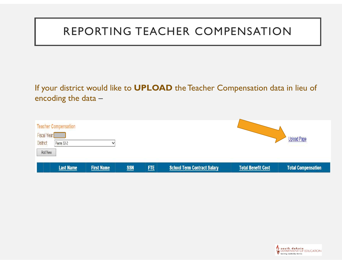|                                                                                    |                   |            |            | REPORTING TEACHER COMPENSATION                                                 |                           |                           |
|------------------------------------------------------------------------------------|-------------------|------------|------------|--------------------------------------------------------------------------------|---------------------------|---------------------------|
| encoding the data $-$                                                              |                   |            |            | If your district would like to UPLOAD the Teacher Compensation data in lieu of |                           |                           |
| <b>Teacher Compensation</b><br>Fiscal Year:<br>District:<br>Pierre 32-2<br>Add New |                   |            |            |                                                                                |                           | <b>Upload Page</b>        |
| <b>Last Name</b>                                                                   | <b>First Name</b> | <b>SSN</b> | <b>FTE</b> | <b>School Term Contract Salary</b>                                             | <b>Total Benefit Cost</b> | <b>Total Compensation</b> |

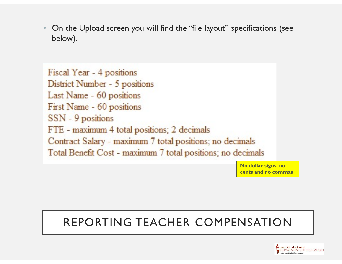• On the Upload screen you will find the "file layout" specifications (see below).

Fiscal Year - 4 positions District Number - 5 positions Last Name - 60 positions First Name - 60 positions SSN - 9 positions FTE - maximum 4 total positions; 2 decimals Contract Salary - maximum 7 total positions; no decimals Total Benefit Cost - maximum 7 total positions; no decimals

> No dollar signs, no cents and no commas

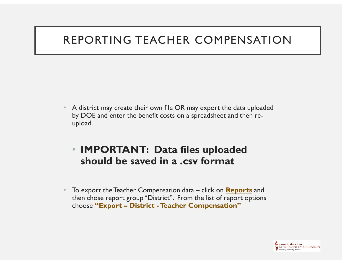- A district may create their own file OR may export the data uploaded by DOE and enter the benefit costs on a spreadsheet and then reupload. • A district may create their own file OR may export the data uploaded<br>by DOE and enter the benefit costs on a spreadsheet and then re-<br>upload.<br>• **IMPORTANT: Data files uploaded**<br>should be saved in a .csv format<br>• To expor A district may create their own file OR may export the data uploade<br>by DOE and enter the benefit costs on a spreadsheet and then re-<br>upload.<br>**• IMPORTANT: Data files uploaded**<br>**should be saved in a .csv format**<br>To export t
	- IMPORTANT: Data files uploaded should be saved in a .csv format
- then chose report group "District". From the list of report options

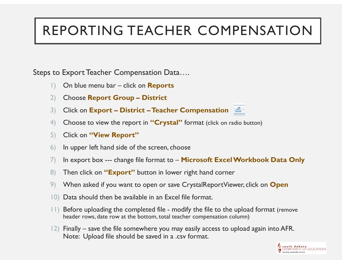# REPORTING TEACHER COMPENSATION 1)<br>
1) On blue menu bar – click on Reports<br>
2) Choose Report Group – District<br>
1) Click on Export – District – Teacher Compensation 2)<br> **EPORTING TEACHER COMPENSAT**<br>
2) On blue menu bar – click on **Reports**<br>
2) Choose Report Group – District<br>
2) Click on Export – District – Teacher Compensation<br>
4) Choose to view the report in "Crystal" format (click o 3)<br>3) Click on Export – District – Teacher Compensation Data<br>3) Choose Report Group – District<br>3) Click on Export – District – Teacher Compensation<br>3) Click on Export – District – Teacher Compensation<br>5) Click on "View Rep

Steps to Export Teacher Compensation Data….

- 
- 
- 
- 4) Choose to view the report in "Crystal" format (click on radio button) 10 Export Teacher Compensation Data....<br>
1) On blue menu bar – click on **Reports**<br>
2) Choose Report Group – District<br>
3) Click on Export – District – Teacher Compensation<br>
4) Choose to view the report in "Crystal" format (
- 5) Click on "View Report"
- 
- 1) On blue menu bar click on **Reports**<br>
2) Choose Report Group District<br>
3) Click on Export District Teacher Compensation<br>
4) Choose to view the report in "Crystal" format (click on radio button)<br>
5) Click on "View 1) On blue menu bar – click on **Reports**<br>
2) Choose **Report Group – District**<br>
2) Choose **Report Group – District**<br>
3) Click on **Export – District – Teacher Compensation**<br>
4) Choose to view the report in "Crystal" format (
- 
- 9) When asked if you want to open or save CrystalReportViewer, click on **Open**
- 10) Data should then be available in an Excel file format.
- header rows, date row at the bottom, total teacher compensation column)
- 21) Click on **Export District Teacher Compensation**<br>
21) Click on **Export District Teacher Compensation**<br>
41) Choose to view the report in "Crystal" format (click on radio button)<br>
51) Click on "View Report"<br>
61) 12) Choose to view the report in "**Crystal**" format (click on radio button)<br>
13) Click on "**View Report**"<br>
16) In upper left hand side of the screen, choose<br>
17) In export box --- change file format to -- **Microsoft Excel** Note: Upload file should be saved in a .csv format.

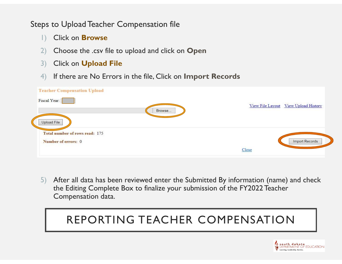Steps to Upload Teacher Compensation file

- 1) Click on **Browse**
- 2) Choose the .csv file to upload and click on **Open**
- 3) Click on Upload File
- 4) If there are No Errors in the file, Click on Import Records

| <b>Teacher Compensation Upload</b>                                   |                                      |
|----------------------------------------------------------------------|--------------------------------------|
| Fiscal Year:<br>Browse                                               | View File Layout View Upload History |
| Upload File<br>Total number of rows read: 175<br>Number of errors: 0 | <b>Import Records</b>                |
|                                                                      | Close                                |

5) After all data has been reviewed enter the Submitted By information (name) and check the Editing Complete Box to finalize your submission of the FY2022 Teacher Compensation data.

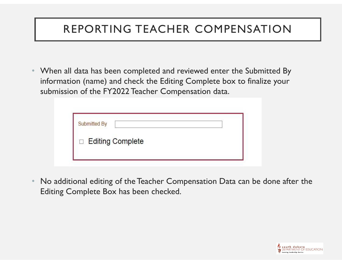• When all data has been completed and reviewed enter the Submitted By information (name) and check the Editing Complete box to finalize your submission of the FY2022 Teacher Compensation data.

| Submitted By |                    |  |
|--------------|--------------------|--|
|              | □ Editing Complete |  |

• No additional editing of the Teacher Compensation Data can be done after the Editing Complete Box has been checked.

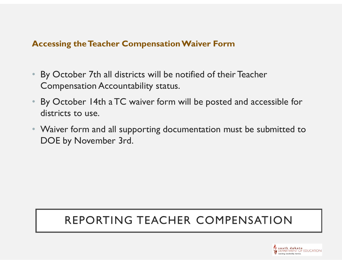#### Accessing the Teacher Compensation Waiver Form

- Accessing the Teacher Compensation Waiver Form<br>• By October 7th all districts will be notified of their Teacher<br>• Compensation Accountability status.<br>• By October 14th a TC waiver form will be posted and accessible for Compensation Accountability status.
- Frank of the Machen Compensation Waiver Form<br>• By October 7th all districts will be notified of their Teacher<br>• Compensation Accountability status.<br>• By October 14th a TC waiver form will be posted and accessible for<br>• Wai districts to use.
- Waiver form and all supporting documentation must be submitted to DOE by November 3rd.

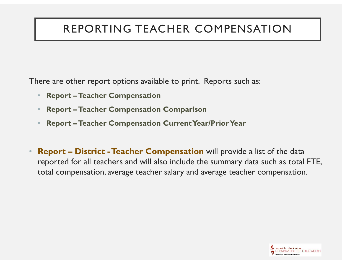There are other report options available to print. Reports such as:

- Report –Teacher Compensation
- Report –Teacher Compensation Comparison
- Report –Teacher Compensation Current Year/Prior Year
- Fhere are other report options available to print. Reports such as:<br>
 Report Teacher Compensation<br>
 Report Teacher Compensation Comparison<br>
 Report Teacher Compensation Current Year/Prior Year<br>
 Report District reported for all teachers and will also include the summary data such as total FTE, total compensation, average teacher salary and average teacher compensation.

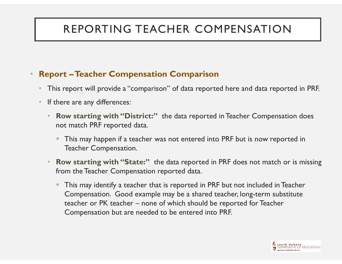#### • Report –Teacher Compensation Comparison

- This report will provide a "comparison" of data reported here and data reported in PRF.
- If there are any differences:
	- **Row starting with "District:"** the data reported in Teacher Compensation does not match PRF reported data.
		- This may happen if a teacher was not entered into PRF but is now reported in Teacher Compensation.
	- **Row starting with "State:"** the data reported in PRF does not match or is missing from the Teacher Compensation reported data.
- **This may identify a teacher that is reported in PRF but not included in Teacher** Compensation. Good example may be a shared teacher, long-term substitute re are any differences:<br>
w starting with "District:" the data reported in Teacher Compensation does<br>
t match PRF reported data.<br>
This may happen if a teacher was not entered into PRF but is now reported in<br>
Teacher Compens Compensation but are needed to be entered into PRF.

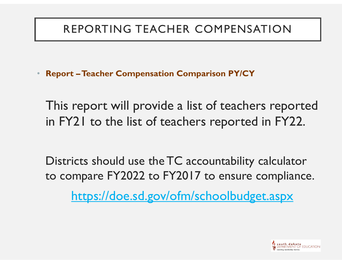• Report –Teacher Compensation Comparison PY/CY

This report will provide a list of teachers reported in FY21 to the list of teachers reported in FY22.

Districts should use the TC accountability calculator to compare FY2022 to FY2017 to ensure compliance.

https://doe.sd.gov/ofm/schoolbudget.aspx

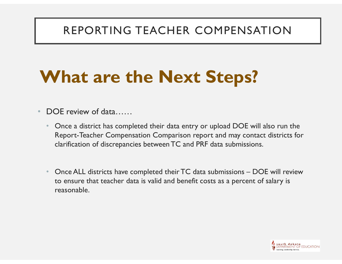## What are the Next Steps?

- DOE review of data……
- Once a district has completed their data entry or upload DOE will also run the Report-Teacher Compensation Comparison report and may contact districts for clarification of discrepancies between TC and PRF data submissions. **Vhat are the Next Steps?**<br>
DOE review of data......<br>
• Once a district has completed their data entry or upload DOE will also run the<br>
Report-Teacher Compensation Comparison report and may contact districts for<br>
darificat
	- to ensure that teacher data is valid and benefit costs as a percent of salary is reasonable.